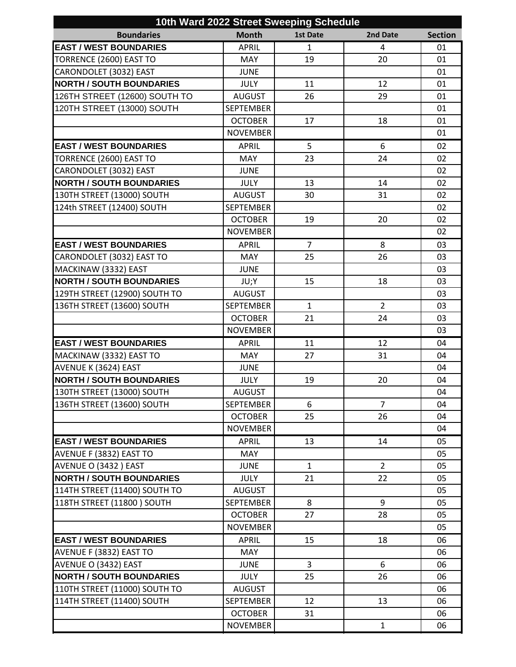| 10th Ward 2022 Street Sweeping Schedule |                  |                 |                |                |  |  |  |
|-----------------------------------------|------------------|-----------------|----------------|----------------|--|--|--|
| <b>Boundaries</b>                       | <b>Month</b>     | <b>1st Date</b> | 2nd Date       | <b>Section</b> |  |  |  |
| <b>EAST / WEST BOUNDARIES</b>           | <b>APRIL</b>     | $\mathbf{1}$    | 4              | 01             |  |  |  |
| TORRENCE (2600) EAST TO                 | <b>MAY</b>       | 19              | 20             | 01             |  |  |  |
| CARONDOLET (3032) EAST                  | <b>JUNE</b>      |                 |                | 01             |  |  |  |
| <b>NORTH / SOUTH BOUNDARIES</b>         | <b>JULY</b>      | 11              | 12             | 01             |  |  |  |
| 126TH STREET (12600) SOUTH TO           | <b>AUGUST</b>    | 26              | 29             | 01             |  |  |  |
| 120TH STREET (13000) SOUTH              | <b>SEPTEMBER</b> |                 |                | 01             |  |  |  |
|                                         | <b>OCTOBER</b>   | 17              | 18             | 01             |  |  |  |
|                                         | <b>NOVEMBER</b>  |                 |                | 01             |  |  |  |
| <b>EAST / WEST BOUNDARIES</b>           | <b>APRIL</b>     | 5               | 6              | 02             |  |  |  |
| TORRENCE (2600) EAST TO                 | <b>MAY</b>       | 23              | 24             | 02             |  |  |  |
| CARONDOLET (3032) EAST                  | <b>JUNE</b>      |                 |                | 02             |  |  |  |
| <b>NORTH / SOUTH BOUNDARIES</b>         | <b>JULY</b>      | 13              | 14             | 02             |  |  |  |
| 130TH STREET (13000) SOUTH              | <b>AUGUST</b>    | 30              | 31             | 02             |  |  |  |
| 124th STREET (12400) SOUTH              | <b>SEPTEMBER</b> |                 |                | 02             |  |  |  |
|                                         | <b>OCTOBER</b>   | 19              | 20             | 02             |  |  |  |
|                                         | <b>NOVEMBER</b>  |                 |                | 02             |  |  |  |
| <b>EAST / WEST BOUNDARIES</b>           | <b>APRIL</b>     | $\overline{7}$  | 8              | 03             |  |  |  |
| CARONDOLET (3032) EAST TO               | <b>MAY</b>       | 25              | 26             | 03             |  |  |  |
| MACKINAW (3332) EAST                    | <b>JUNE</b>      |                 |                | 03             |  |  |  |
| <b>NORTH / SOUTH BOUNDARIES</b>         | JU;Y             | 15              | 18             | 03             |  |  |  |
| 129TH STREET (12900) SOUTH TO           | <b>AUGUST</b>    |                 |                | 03             |  |  |  |
| 136TH STREET (13600) SOUTH              | <b>SEPTEMBER</b> | $\mathbf{1}$    | $\overline{2}$ | 03             |  |  |  |
|                                         | <b>OCTOBER</b>   | 21              | 24             | 03             |  |  |  |
|                                         | <b>NOVEMBER</b>  |                 |                | 03             |  |  |  |
| <b>EAST / WEST BOUNDARIES</b>           | <b>APRIL</b>     | 11              | 12             | 04             |  |  |  |
| MACKINAW (3332) EAST TO                 | <b>MAY</b>       | 27              | 31             | 04             |  |  |  |
| AVENUE K (3624) EAST                    | <b>JUNE</b>      |                 |                | 04             |  |  |  |
| <b>NORTH / SOUTH BOUNDARIES</b>         | <b>JULY</b>      | 19              | 20             | 04             |  |  |  |
| 130TH STREET (13000) SOUTH              | <b>AUGUST</b>    |                 |                | 04             |  |  |  |
| 136TH STREET (13600) SOUTH              | <b>SEPTEMBER</b> | 6               | $\overline{7}$ | 04             |  |  |  |
|                                         | <b>OCTOBER</b>   | 25              | 26             | 04             |  |  |  |
|                                         | <b>NOVEMBER</b>  |                 |                | 04             |  |  |  |
| <b>EAST / WEST BOUNDARIES</b>           | <b>APRIL</b>     | 13              | 14             | 05             |  |  |  |
| AVENUE F (3832) EAST TO                 | <b>MAY</b>       |                 |                | 05             |  |  |  |
| AVENUE O (3432) EAST                    | <b>JUNE</b>      | $\mathbf{1}$    | $\overline{2}$ | 05             |  |  |  |
| <b>NORTH / SOUTH BOUNDARIES</b>         | <b>JULY</b>      | 21              | 22             | 05             |  |  |  |
| 114TH STREET (11400) SOUTH TO           | <b>AUGUST</b>    |                 |                | 05             |  |  |  |
| 118TH STREET (11800) SOUTH              | <b>SEPTEMBER</b> | 8               | 9              | 05             |  |  |  |
|                                         | <b>OCTOBER</b>   | 27              | 28             | 05             |  |  |  |
|                                         | <b>NOVEMBER</b>  |                 |                | 05             |  |  |  |
| <b>EAST / WEST BOUNDARIES</b>           | <b>APRIL</b>     | 15              | 18             | 06             |  |  |  |
| AVENUE F (3832) EAST TO                 | <b>MAY</b>       |                 |                | 06             |  |  |  |
| AVENUE O (3432) EAST                    | <b>JUNE</b>      | $\mathbf{3}$    | 6              | 06             |  |  |  |
| <b>NORTH / SOUTH BOUNDARIES</b>         | <b>JULY</b>      | 25              | 26             | 06             |  |  |  |
| 110TH STREET (11000) SOUTH TO           | <b>AUGUST</b>    |                 |                | 06             |  |  |  |
| 114TH STREET (11400) SOUTH              | <b>SEPTEMBER</b> | 12              | 13             | 06             |  |  |  |
|                                         | <b>OCTOBER</b>   | 31              |                | 06             |  |  |  |
|                                         | <b>NOVEMBER</b>  |                 | $\mathbf{1}$   | 06             |  |  |  |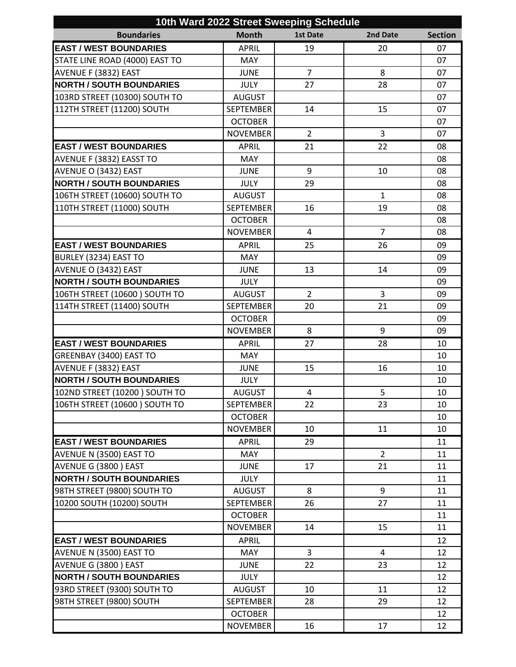| 10th Ward 2022 Street Sweeping Schedule |                  |                 |                |                |  |  |  |
|-----------------------------------------|------------------|-----------------|----------------|----------------|--|--|--|
| <b>Boundaries</b>                       | <b>Month</b>     | <b>1st Date</b> | 2nd Date       | <b>Section</b> |  |  |  |
| <b>EAST / WEST BOUNDARIES</b>           | <b>APRIL</b>     | 19              | 20             | 07             |  |  |  |
| STATE LINE ROAD (4000) EAST TO          | <b>MAY</b>       |                 |                | 07             |  |  |  |
| AVENUE F (3832) EAST                    | <b>JUNE</b>      | $\overline{7}$  | 8              | 07             |  |  |  |
| <b>NORTH / SOUTH BOUNDARIES</b>         | <b>JULY</b>      | 27              | 28             | 07             |  |  |  |
| 103RD STREET (10300) SOUTH TO           | <b>AUGUST</b>    |                 |                | 07             |  |  |  |
| 112TH STREET (11200) SOUTH              | <b>SEPTEMBER</b> | 14              | 15             | 07             |  |  |  |
|                                         | <b>OCTOBER</b>   |                 |                | 07             |  |  |  |
|                                         | <b>NOVEMBER</b>  | $\overline{2}$  | 3              | 07             |  |  |  |
| <b>EAST / WEST BOUNDARIES</b>           | <b>APRIL</b>     | 21              | 22             | 08             |  |  |  |
| AVENUE F (3832) EASST TO                | <b>MAY</b>       |                 |                | 08             |  |  |  |
| AVENUE O (3432) EAST                    | <b>JUNE</b>      | 9               | 10             | 08             |  |  |  |
| <b>NORTH / SOUTH BOUNDARIES</b>         | <b>JULY</b>      | 29              |                | 08             |  |  |  |
| 106TH STREET (10600) SOUTH TO           | <b>AUGUST</b>    |                 | $\mathbf{1}$   | 08             |  |  |  |
| 110TH STREET (11000) SOUTH              | <b>SEPTEMBER</b> | 16              | 19             | 08             |  |  |  |
|                                         | <b>OCTOBER</b>   |                 |                | 08             |  |  |  |
|                                         | <b>NOVEMBER</b>  | $\overline{4}$  | $\overline{7}$ | 08             |  |  |  |
| <b>EAST / WEST BOUNDARIES</b>           | <b>APRIL</b>     | 25              | 26             | 09             |  |  |  |
| BURLEY (3234) EAST TO                   | <b>MAY</b>       |                 |                | 09             |  |  |  |
| AVENUE O (3432) EAST                    | <b>JUNE</b>      | 13              | 14             | 09             |  |  |  |
| <b>NORTH / SOUTH BOUNDARIES</b>         | <b>JULY</b>      |                 |                | 09             |  |  |  |
| 106TH STREET (10600) SOUTH TO           | <b>AUGUST</b>    | $\overline{2}$  | 3              | 09             |  |  |  |
| 114TH STREET (11400) SOUTH              | <b>SEPTEMBER</b> | 20              | 21             | 09             |  |  |  |
|                                         | <b>OCTOBER</b>   |                 |                | 09             |  |  |  |
|                                         | <b>NOVEMBER</b>  | 8               | 9              | 09             |  |  |  |
| <b>EAST / WEST BOUNDARIES</b>           | <b>APRIL</b>     | 27              | 28             | 10             |  |  |  |
| GREENBAY (3400) EAST TO                 | <b>MAY</b>       |                 |                | 10             |  |  |  |
| AVENUE F (3832) EAST                    | <b>JUNE</b>      | 15              | 16             | 10             |  |  |  |
| <b>NORTH / SOUTH BOUNDARIES</b>         | <b>JULY</b>      |                 |                | 10             |  |  |  |
| 102ND STREET (10200) SOUTH TO           | AUGUST           | 4               | 5              | $10\,$         |  |  |  |
| 106TH STREET (10600) SOUTH TO           | <b>SEPTEMBER</b> | 22              | 23             | 10             |  |  |  |
|                                         | <b>OCTOBER</b>   |                 |                | 10             |  |  |  |
|                                         | <b>NOVEMBER</b>  | 10              | 11             | 10             |  |  |  |
| <b>EAST / WEST BOUNDARIES</b>           | <b>APRIL</b>     | 29              |                | 11             |  |  |  |
| AVENUE N (3500) EAST TO                 | <b>MAY</b>       |                 | $\overline{2}$ | 11             |  |  |  |
| AVENUE G (3800) EAST                    | <b>JUNE</b>      | 17              | 21             | 11             |  |  |  |
| <b>NORTH / SOUTH BOUNDARIES</b>         | <b>JULY</b>      |                 |                | 11             |  |  |  |
| 98TH STREET (9800) SOUTH TO             | <b>AUGUST</b>    | 8               | 9              | 11             |  |  |  |
| 10200 SOUTH (10200) SOUTH               | <b>SEPTEMBER</b> | 26              | 27             | 11             |  |  |  |
|                                         | <b>OCTOBER</b>   |                 |                | 11             |  |  |  |
|                                         | <b>NOVEMBER</b>  | 14              | 15             | 11             |  |  |  |
| <b>EAST / WEST BOUNDARIES</b>           | <b>APRIL</b>     |                 |                | 12             |  |  |  |
| AVENUE N (3500) EAST TO                 | <b>MAY</b>       | 3               | 4              | 12             |  |  |  |
| AVENUE G (3800) EAST                    | <b>JUNE</b>      | 22              | 23             | 12             |  |  |  |
| <b>NORTH / SOUTH BOUNDARIES</b>         | <b>JULY</b>      |                 |                | 12             |  |  |  |
| 93RD STREET (9300) SOUTH TO             | <b>AUGUST</b>    | 10              | 11             | 12             |  |  |  |
| 98TH STREET (9800) SOUTH                | <b>SEPTEMBER</b> | 28              | 29             | 12             |  |  |  |
|                                         | <b>OCTOBER</b>   |                 |                | 12             |  |  |  |
|                                         | <b>NOVEMBER</b>  | 16              | 17             | 12             |  |  |  |